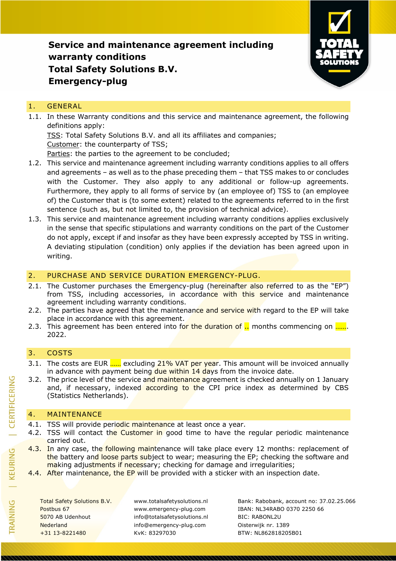

### 1. GENERAL

1.1. In these Warranty conditions and this service and maintenance agreement, the following definitions apply:

TSS: Total Safety Solutions B.V. and all its affiliates and companies; Customer: the counterparty of TSS;

Parties: the parties to the agreement to be concluded;

- 1.2. This service and maintenance agreement including warranty conditions applies to all offers and agreements – as well as to the phase preceding them – that TSS makes to or concludes with the Customer. They also apply to any additional or follow-up agreements. Furthermore, they apply to all forms of service by (an employee of) TSS to (an employee of) the Customer that is (to some extent) related to the agreements referred to in the first sentence (such as, but not limited to, the provision of technical advice).
- 1.3. This service and maintenance agreement including warranty conditions applies exclusively in the sense that specific stipulations and warranty conditions on the part of the Customer do not apply, except if and insofar as they have been expressly accepted by TSS in writing. A deviating stipulation (condition) only applies if the deviation has been agreed upon in writing.

### 2. PURCHASE AND SERVICE DURATION EMERGENCY-PLUG.

- 2.1. The Customer purchases the Emergency-plug (hereinafter also referred to as the "EP") from TSS, including accessories, in accordance with this service and maintenance agreement including warranty conditions.
- 2.2. The parties have agreed that the maintenance and service with regard to the EP will take place in accordance with this agreement.
- 2.3. This agreement has been entered into for the duration of  $\frac{1}{1}$  months commencing on  $\frac{1}{2}$ . 2022.

### 3. COSTS

- 3.1. The costs are EUR ...... excluding 21% VAT per year. This amount will be invoiced annually in advance with payment being due within  $14$  days from the invoice date.
- 3.2. The price level of the service and maintenance agreement is checked annually on 1 January and, if necessary, indexed according to the CPI price index as determined by CBS (Statistics Netherlands).

### 4. MAINTENANCE

- 4.1. TSS will provide periodic maintenance at least once a year.
- 4.2. TSS will contact the Customer in good time to have the regular periodic maintenance carried out.
- 4.3. In any case, the following maintenance will take place every 12 months: replacement of the battery and loose parts subject to wear; measuring the EP; checking the software and making adjustments if necessary; checking for damage and irregularities;
- 4.4. After maintenance, the EP will be provided with a sticker with an inspection date.

5070 AB Udenhout info@totalsafetysolutions.nl BIC: RABONL2U Nederland info@emergency-plug.com Oisterwijk nr. 1389 +31 13-8221480 KvK: 83297030 BTW: NL862818205B01

Total Safety Solutions B.V. www.totalsafetysolutions.nl Bank: Rabobank, account no: 37.02.25.066 Postbus 67 www.emergency-plug.com IBAN: NL34RABO 0370 2250 66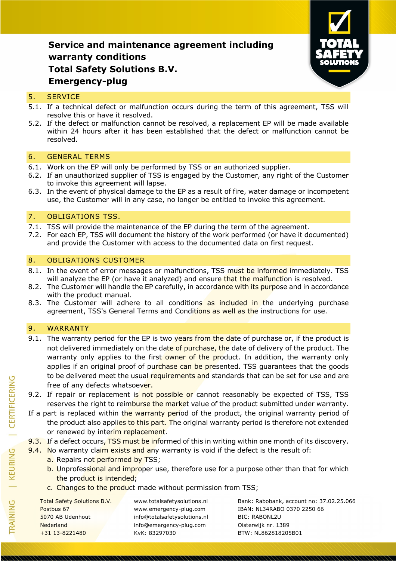

#### 5. SERVICE

- 5.1. If a technical defect or malfunction occurs during the term of this agreement, TSS will resolve this or have it resolved.
- 5.2. If the defect or malfunction cannot be resolved, a replacement EP will be made available within 24 hours after it has been established that the defect or malfunction cannot be resolved.

#### 6. GENERAL TERMS

- 6.1. Work on the EP will only be performed by TSS or an authorized supplier.
- 6.2. If an unauthorized supplier of TSS is engaged by the Customer, any right of the Customer to invoke this agreement will lapse.
- 6.3. In the event of physical damage to the EP as a result of fire, water damage or incompetent use, the Customer will in any case, no longer be entitled to invoke this agreement.

#### 7. OBLIGATIONS TSS.

- 7.1. TSS will provide the maintenance of the EP during the term of the agreement.
- 7.2. For each EP, TSS will document the history of the work performed (or have it documented) and provide the Customer with access to the documented data on first request.

#### 8. OBLIGATIONS CUSTOMER

- 8.1. In the event of error messages or malfunctions, TSS must be informed immediately. TSS will analyze the EP (or have it analyzed) and ensure that the malfunction is resolved.
- 8.2. The Customer will handle the EP carefully, in accordance with its purpose and in accordance with the product manual.
- 8.3. The Customer will adhere to all conditions as included in the underlying purchase agreement, TSS's General Terms and Conditions as well as the instructions for use.

### 9. WARRANTY

- 9.1. The warranty period for the EP is two years from the date of purchase or, if the product is not delivered immediately on the date of purchase, the date of delivery of the product. The warranty only applies to the first owner of the product. In addition, the warranty only applies if an original proof of purchase can be presented. TSS guarantees that the goods to be delivered meet the usual requirements and standards that can be set for use and are free of any defects whatsoever.
- 9.2. If repair or replacement is not possible or cannot reasonably be expected of TSS, TSS reserves the right to reimburse the market value of the product submitted under warranty.
- If a part is replaced within the warranty period of the product, the original warranty period of the product also applies to this part. The original warranty period is therefore not extended or renewed by interim replacement.

9.3. If a defect occurs, TSS must be informed of this in writing within one month of its discovery.

- 9.4. No warranty claim exists and any warranty is void if the defect is the result of:
	- a. Repairs not performed by TSS;
	- b. Unprofessional and improper use, therefore use for a purpose other than that for which the product is intended;
	- c. Changes to the product made without permission from TSS;

5070 AB Udenhout info@totalsafetysolutions.nl BIC: RABONL2U Nederland info@emergency-plug.com Oisterwijk nr. 1389 +31 13-8221480 KvK: 83297030 BTW: NL862818205B01

Total Safety Solutions B.V. www.totalsafetysolutions.nl Bank: Rabobank, account no: 37.02.25.066 Postbus 67 www.emergency-plug.com IBAN: NL34RABO 0370 2250 66

TRAINING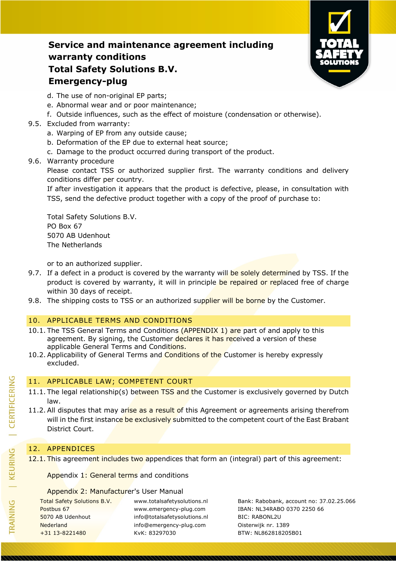

- d. The use of non-original EP parts;
- e. Abnormal wear and or poor maintenance;
- f. Outside influences, such as the effect of moisture (condensation or otherwise).

### 9.5. Excluded from warranty:

- a. Warping of EP from any outside cause;
- b. Deformation of the EP due to external heat source;
- c. Damage to the product occurred during transport of the product.
- 9.6. Warranty procedure

Please contact TSS or authorized supplier first. The warranty conditions and delivery conditions differ per country.

If after investigation it appears that the product is defective, please, in consultation with TSS, send the defective product together with a copy of the proof of purchase to:

Total Safety Solutions B.V. PO Box 67 5070 AB Udenhout The Netherlands

or to an authorized supplier.

- 9.7. If a defect in a product is covered by the warranty will be solely determined by TSS. If the product is covered by warranty, it will in principle be repaired or replaced free of charge within 30 days of receipt.
- 9.8. The shipping costs to TSS or an authorized supplier will be borne by the Customer.

### 10. APPLICABLE TERMS AND CONDITIONS

- 10.1. The TSS General Terms and Conditions (APPENDIX 1) are part of and apply to this agreement. By signing, the Customer declares it has received a version of these applicable General Terms and Conditions.
- 10.2. Applicability of General Terms and Conditions of the Customer is hereby expressly excluded.

## 11. APPLICABLE LAW; COMPETENT COURT

- 11.1. The legal relationship(s) between TSS and the Customer is exclusively governed by Dutch law.
- 11.2. All disputes that may arise as a result of this Agreement or agreements arising therefrom will in the first instance be exclusively submitted to the competent court of the East Brabant District Court.

### 12. APPENDICES

12.1. This agreement includes two appendices that form an (integral) part of this agreement:

Appendix 1: General terms and conditions

#### Appendix 2: Manufacturer's User Manual

Postbus 67 www.emergency-plug.com IBAN: NL34RABO 0370 2250 66 5070 AB Udenhout info@totalsafetysolutions.nl BIC: RABONL2U Nederland info@emergency-plug.com Oisterwijk nr. 1389 +31 13-8221480 KvK: 83297030 BTW: NL862818205B01

Total Safety Solutions B.V. www.totalsafetysolutions.nl Bank: Rabobank, account no: 37.02.25.066